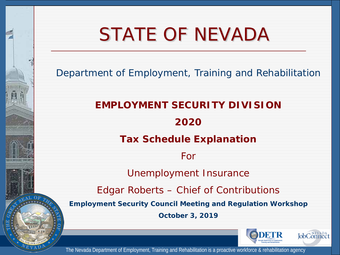# STATE OF NEVADA

Department of Employment, Training and Rehabilitation

**EMPLOYMENT SECURITY DIVISION 2020 Tax Schedule Explanation**  For Unemployment Insurance Edgar Roberts – Chief of Contributions **Employment Security Council Meeting and Regulation Workshop October 3, 2019**JobConnect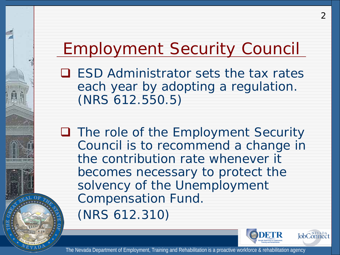### Employment Security Council

**Q** ESD Administrator sets the tax rates each year by adopting a regulation. (NRS 612.550.5)

**Q** The role of the Employment Security Council is to recommend a change in the contribution rate whenever it becomes necessary to protect the solvency of the Unemployment Compensation Fund. (NRS 612.310)



2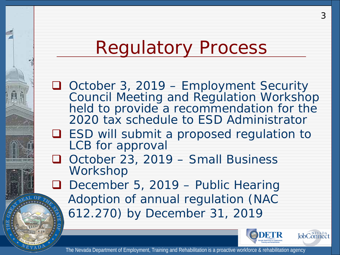## Regulatory Process

□ October 3, 2019 – Employment Security Council Meeting and Regulation Workshop held to provide a recommendation for the 2020 tax schedule to ESD Administrator

- □ ESD will submit a proposed regulation to LCB for approval
- □ October 23, 2019 Small Business Workshop

D December 5, 2019 – Public Hearing Adoption of annual regulation (NAC 612.270) by December 31, 2019





3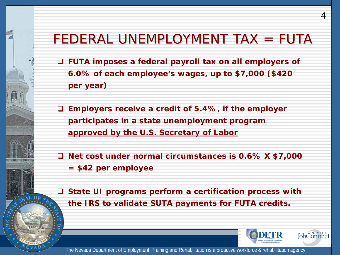#### FEDERAL UNEMPLOYMENT TAX = FUTA

 **FUTA imposes a federal payroll tax on all employers of 6.0% of each employee's wages, up to \$7,000 (\$420 per year)**

 **Employers receive a credit of 5.4%, if the employer participates in a state unemployment program approved by the U.S. Secretary of Labor**

 **Net cost under normal circumstances is 0.6% X \$7,000 = \$42 per employee**

 **State UI programs perform a certification process with the IRS to validate SUTA payments for FUTA credits.** 



4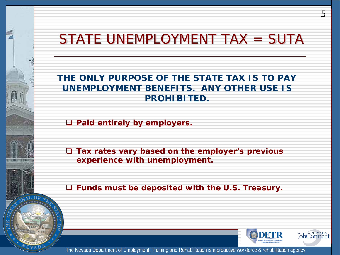#### STATE UNEMPLOYMENT TAX = SUTA

#### **THE ONLY PURPOSE OF THE STATE TAX IS TO PAY UNEMPLOYMENT BENEFITS. ANY OTHER USE IS PROHIBITED.**

**Paid entirely by employers.** 

 **Tax rates vary based on the employer's previous experience with unemployment.**

**Funds must be deposited with the U.S. Treasury.**



5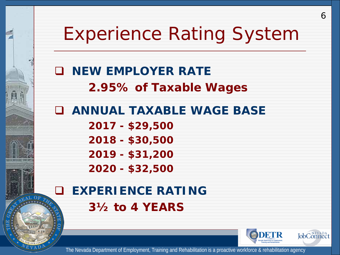## Experience Rating System

 **NEW EMPLOYER RATE 2.95% of Taxable Wages**

 **ANNUAL TAXABLE WAGE BASE 2017 - \$29,500 2018 - \$30,500 2019 - \$31,200 2020 - \$32,500**

 **EXPERIENCE RATING 3½ to 4 YEARS**



6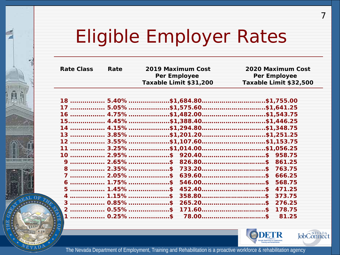# Eligible Employer Rates

Ĥ

<u>HER MULHE MELLE</u>

**GAL OF** 

| <b>Rate Class</b> | Rate | 2019 Maximum Cost                             | 2020 Maximum Cost      |  |  |  |
|-------------------|------|-----------------------------------------------|------------------------|--|--|--|
|                   |      | Per Employee                                  | Per Employee           |  |  |  |
|                   |      | Taxable Limit \$31,200                        | Taxable Limit \$32,500 |  |  |  |
|                   |      |                                               |                        |  |  |  |
|                   |      | 18  5.40%\$1,684.80\$1,755.00                 |                        |  |  |  |
|                   |      |                                               |                        |  |  |  |
|                   |      | 16  4.75%\$1,482.00\$1,543.75                 |                        |  |  |  |
|                   |      | 15. 4.45% \$1,388.40 \$1,446.25               |                        |  |  |  |
|                   |      | 14  4.15%\$1,294.80\$1,348.75                 |                        |  |  |  |
|                   |      |                                               |                        |  |  |  |
|                   |      |                                               |                        |  |  |  |
|                   |      | 11  3.25%\$1,014.00\$1,056.25                 |                        |  |  |  |
|                   |      | 10  2.95%\$ 920.40\$ 958.75                   |                        |  |  |  |
|                   |      | 9  2.65%\$ 826.80\$ 861.25                    |                        |  |  |  |
|                   |      | 8  2.35%\$ 733.20\$ 763.75                    |                        |  |  |  |
|                   |      | 7  2.05%\$ 639.60\$ 666.25                    |                        |  |  |  |
|                   |      | $6$ 1.75%\$ 546.00\$ 568.75                   |                        |  |  |  |
|                   |      | 5  1.45%\$ 452.40\$ 471.25                    |                        |  |  |  |
|                   |      |                                               | 358.80\$ 373.75        |  |  |  |
|                   |      | 3  0.85%\$ 265.20\$ 276.25                    |                        |  |  |  |
|                   |      |                                               |                        |  |  |  |
|                   |      | $1$ ……………… 0.25%…………………\$  78.00……………………………\$ | 81.25                  |  |  |  |
|                   |      |                                               |                        |  |  |  |



7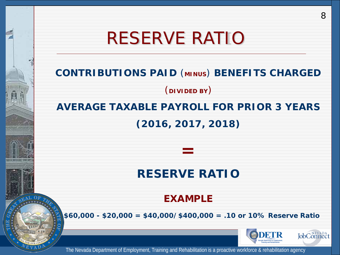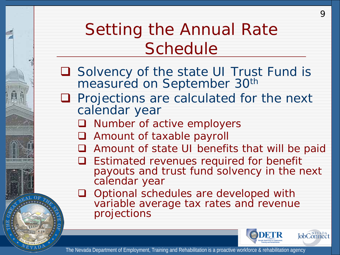### Setting the Annual Rate **Schedule**

□ Solvency of the state UI Trust Fund is measured on September 30<sup>th</sup>

- **Q** Projections are calculated for the next calendar year
	- **Q** Number of active employers
	- **Q** Amount of taxable payroll
	- Amount of state UI benefits that will be paid
	- **Q** Estimated revenues required for benefit payouts and trust fund solvency in the next calendar year
	- **Q** Optional schedules are developed with variable average tax rates and revenue projections



 $\mathsf Q$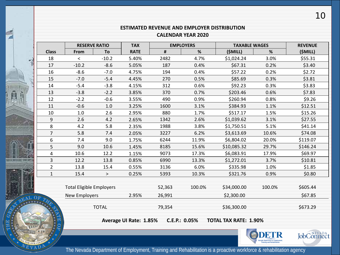#### **ESTIMATED REVENUE AND EMPLOYER DISTRIBUTION CALENDAR YEAR 2020**

望

Ĥ

HIGHRADIS (IT) IS

CAL O

**ROUR** T)

|                | <b>RESERVE RATIO</b>            |              | <b>TAX</b>             | <b>EMPLOYERS</b> |               | <b>TAXABLE WAGES</b>         |        | <b>REVENUE</b> |  |  |
|----------------|---------------------------------|--------------|------------------------|------------------|---------------|------------------------------|--------|----------------|--|--|
| <b>Class</b>   | From                            | To           | <b>RATE</b>            | $\pmb{\sharp}$   | $\%$          | (\$MILL)                     | %      | (\$MILL)       |  |  |
| 18             | $\,<$                           | $-10.2$      | 5.40%                  | 2482             | 4.7%          | \$1,024.24                   | 3.0%   | \$55.31        |  |  |
| 17             | $-10.2$                         | $-8.6$       | 5.05%                  | 187              | 0.4%          | \$67.31                      | 0.2%   | \$3.40         |  |  |
| 16             | $-8.6$                          | $-7.0$       | 4.75%                  | 194              | 0.4%          | \$57.22                      | 0.2%   | \$2.72         |  |  |
| 15             | $-7.0$                          | $-5.4$       | 4.45%                  | 270              | 0.5%          | \$85.69                      | 0.3%   | \$3.81         |  |  |
| 14             | $-5.4$                          | $-3.8$       | 4.15%                  | 312              | 0.6%          | \$92.23                      | 0.3%   | \$3.83         |  |  |
| 13             | $-3.8$                          | $-2.2$       | 3.85%                  | 370              | 0.7%          | \$203.46                     | 0.6%   | \$7.83         |  |  |
| 12             | $-2.2$                          | $-0.6$       | 3.55%                  | 490              | 0.9%          | \$260.94                     | 0.8%   | \$9.26         |  |  |
| 11             | $-0.6$                          | 1.0          | 3.25%                  | 1600             | 3.1%          | \$384.93                     | 1.1%   | \$12.51        |  |  |
| 10             | 1.0                             | 2.6          | 2.95%                  | 880              | 1.7%          | \$517.17                     | 1.5%   | \$15.26        |  |  |
| 9              | 2.6                             | 4.2          | 2.65%                  | 1342             | 2.6%          | \$1,039.62                   | 3.1%   | \$27.55        |  |  |
| 8              | 4.2                             | 5.8          | 2.35%                  | 1988             | 3.8%          | \$1,750.51                   | 5.1%   | \$41.14        |  |  |
| $\overline{7}$ | 5.8                             | 7.4          | 2.05%                  | 3227             | 6.2%          | \$3,613.69                   | 10.6%  | \$74.08        |  |  |
| 6              | 7.4                             | 9.0          | 1.75%                  | 6244             | 11.9%         | \$6,804.02                   | 20.0%  | \$119.07       |  |  |
| 5              | 9.0                             | 10.6         | 1.45%                  | 8185             | 15.6%         | \$10,085.32                  | 29.7%  | \$146.24       |  |  |
| 4              | 10.6                            | 12.2         | 1.15%                  | 9073             | 17.3%         | \$6,083.91                   | 17.9%  | \$69.97        |  |  |
| 3              | 12.2                            | 13.8         | 0.85%                  | 6990             | 13.3%         | \$1,272.01                   | 3.7%   | \$10.81        |  |  |
| $\overline{2}$ | 13.8                            | 15.4         | 0.55%                  | 3136             | 6.0%          | \$335.98                     | 1.0%   | \$1.85         |  |  |
| $\mathbf{1}$   | 15.4                            | $\,>$        | 0.25%                  | 5393             | 10.3%         | \$321.76                     | 0.9%   | \$0.80         |  |  |
|                |                                 |              |                        |                  |               |                              |        |                |  |  |
|                | <b>Total Eligible Employers</b> |              |                        | 52,363           | 100.0%        | \$34,000.00                  | 100.0% | \$605.44       |  |  |
|                | New Employers                   |              | 2.95%                  | 26,991           |               | \$2,300.00                   |        | \$67.85        |  |  |
|                |                                 | <b>TOTAL</b> |                        | 79,354           |               | \$36,300.00                  |        | \$673.29       |  |  |
|                |                                 |              | Average UI Rate: 1.85% |                  | C.E.P.: 0.05% | <b>TOTAL TAX RATE: 1.90%</b> |        |                |  |  |
|                |                                 |              |                        |                  |               |                              |        |                |  |  |



JobConnect

The Nevada Department of Employment, Training and Rehabilitation is a proactive workforce & rehabilitation agency

10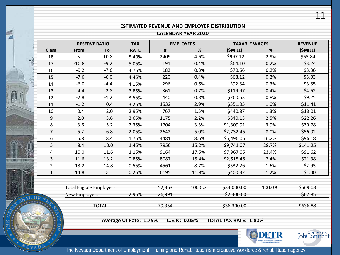#### **ESTIMATED REVENUE AND EMPLOYER DISTRIBUTION**

#### **CALENDAR YEAR 2020**

|                                 | <b>RESERVE RATIO</b>                                                    |              | <b>TAX</b>  | <b>EMPLOYERS</b> |             | <b>TAXABLE WAGES</b> |          | <b>REVENUE</b> |
|---------------------------------|-------------------------------------------------------------------------|--------------|-------------|------------------|-------------|----------------------|----------|----------------|
| <b>Class</b>                    | From                                                                    | To           | <b>RATE</b> | $\pmb{\sharp}$   | %           | (\$MILL)             | %        | (\$MILL)       |
| 18                              | $\,<\,$                                                                 | $-10.8$      | 5.40%       | 2409             | 4.6%        | \$997.12             | 2.9%     | \$53.84        |
| 17                              | $-10.8$                                                                 | $-9.2$       | 5.05%       | 191              | 0.4%        | \$64.10              | 0.2%     | \$3.24         |
| 16                              | $-9.2$                                                                  | $-7.6$       | 4.75%       | 182              | 0.3%        | \$70.66              | 0.2%     | \$3.36         |
| 15                              | $-7.6$                                                                  | $-6.0$       | 4.45%       | 220              | 0.4%        | \$68.12              | 0.2%     | \$3.03         |
| 14                              | $-6.0$                                                                  | $-4.4$       | 4.15%       | 296              | 0.6%        | \$92.84              | 0.3%     | \$3.85         |
| 13                              | $-4.4$                                                                  | $-2.8$       | 3.85%       | 361              | 0.7%        | \$119.97             | 0.4%     | \$4.62         |
| 12                              | $-2.8$                                                                  | $-1.2$       | 3.55%       | 440              | 0.8%        | \$260.53             | 0.8%     | \$9.25         |
| 11                              | $-1.2$                                                                  | 0.4          | 3.25%       | 1532             | 2.9%        | \$351.05             | 1.0%     | \$11.41        |
| 10                              | 0.4                                                                     | 2.0          | 2.95%       | 767              | 1.5%        | \$440.87             | 1.3%     | \$13.01        |
| 9                               | 2.0                                                                     | 3.6          | 2.65%       | 1175             | 2.2%        | \$840.13             | 2.5%     | \$22.26        |
| 8                               | 3.6                                                                     | 5.2          | 2.35%       | 1704             | 3.3%        | \$1,309.91           | 3.9%     | \$30.78        |
| $\overline{7}$                  | 5.2                                                                     | 6.8          | 2.05%       | 2642             | 5.0%        | \$2,732.45           | 8.0%     | \$56.02        |
| 6                               | 6.8                                                                     | 8.4          | 1.75%       | 4481             | 8.6%        | \$5,496.05           | 16.2%    | \$96.18        |
| 5                               | 8.4                                                                     | 10.0         | 1.45%       | 7956             | 15.2%       | \$9,741.07           | 28.7%    | \$141.25       |
| 4                               | 10.0                                                                    | 11.6         | 1.15%       | 9164             | 17.5%       | \$7,967.05           | 23.4%    | \$91.62        |
| 3                               | 11.6                                                                    | 13.2         | 0.85%       | 8087             | 15.4%       | \$2,515.48           | 7.4%     | \$21.38        |
| $\overline{2}$                  | 13.2                                                                    | 14.8         | 0.55%       | 4561             | 8.7%        | \$532.26             | 1.6%     | \$2.93         |
| $\mathbf{1}$                    | 14.8                                                                    | $\rm{>}$     | 0.25%       | 6195             | 11.8%       | \$400.32             | 1.2%     | \$1.00         |
| <b>Total Eligible Employers</b> |                                                                         |              | 52,363      | 100.0%           | \$34,000.00 | 100.0%               | \$569.03 |                |
|                                 | New Employers                                                           |              | 2.95%       | 26,991           |             | \$2,300.00           |          | \$67.85        |
|                                 |                                                                         | <b>TOTAL</b> |             | 79,354           |             | \$36,300.00          |          | \$636.88       |
|                                 | C.E.P.: 0.05%<br>Average UI Rate: 1.75%<br><b>TOTAL TAX RATE: 1.80%</b> |              |             |                  |             |                      |          |                |
|                                 |                                                                         |              |             |                  |             |                      | DETR     | JobConnect     |

Ĥ

HERRICHE HELL

KN

OUR



The Nevada Department of Employment, Training and Rehabilitation is a proactive workforce & rehabilitation agency

11